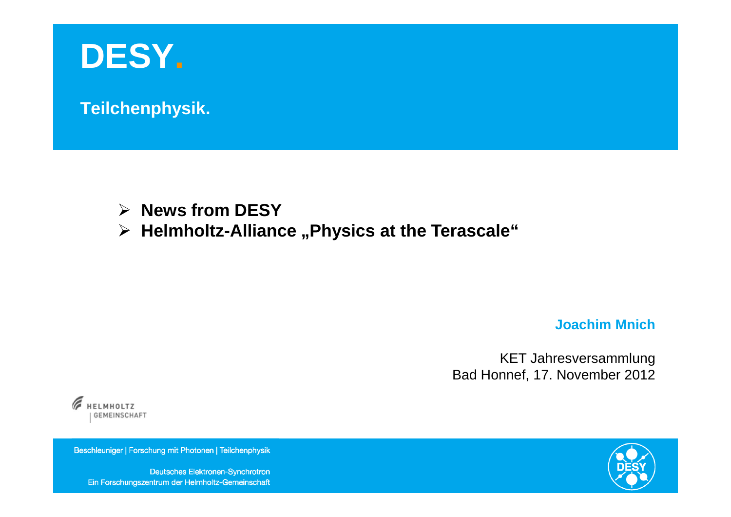

**Teilchenphysik.**

# **News from DESY**

**Helmholtz-Alliance "Physics at the Terascale"** 

**Joachim Mnich**

KET JahresversammlungBad Honnef, 17. November 2012



Beschleuniger | Forschung mit Photonen | Teilchenphysik

Deutsches Elektronen-Synchrotron Ein Forschungszentrum der Helmholtz-Gemeinschaft

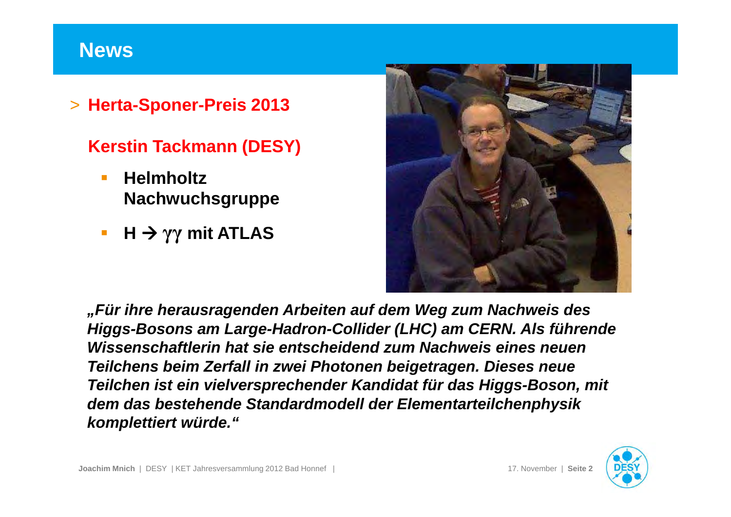### **News**

> **Herta-Sponer-Preis 2013**

**Kerstin Tackmann (DESY)**

- - **Helmholtz Nachwuchsgruppe**
- -**<sup>H</sup> γγ mit ATLAS**



**"Für ihre herausragenden Arbeiten auf dem Weg zum Nachweis des Higgs-Bosons am Large-Hadron-Collider (LHC) am CERN. Als führende Wissenschaftlerin hat sie entscheidend zum Nachweis eines neuen Teilchens beim Zerfall in zwei Photonen beigetragen. Dieses neue Teilchen ist ein vielversprechender Kandidat für das Higgs-Boson, mit dem das bestehende Standardmodell der Elementarteilchenphysik komplettiert würde."**

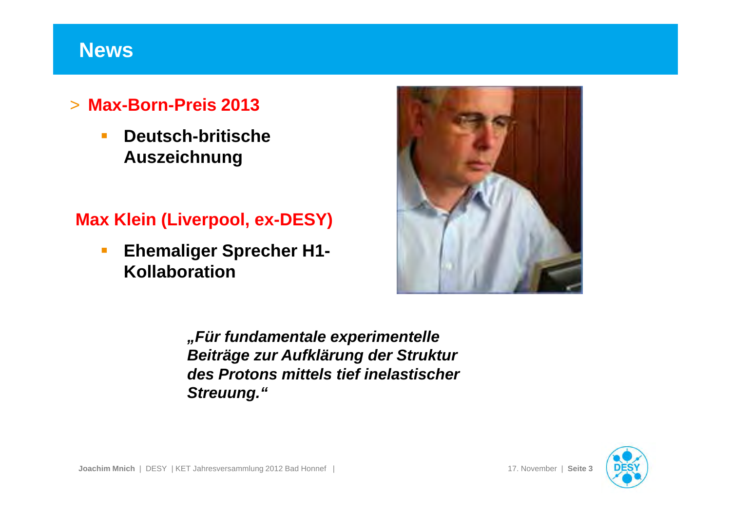### **News**

# > **Max-Born-Preis 2013**

- **Deutsch-britische Auszeichnung**

### **Max Klein (Liverpool, ex-DESY)**

 $\overline{\phantom{0}}$  **Ehemaliger Sprecher H1- Kollaboration**



**"Für fundamentale experimentelle Beiträge zur Aufklärung der Struktur des Protons mittels tief inelastischerStreuung."**

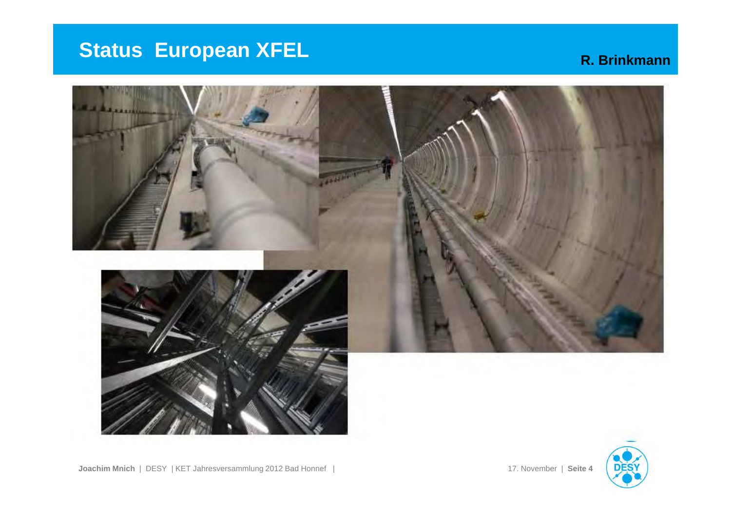### **Status European XFEL**

#### **R. Brinkmann**



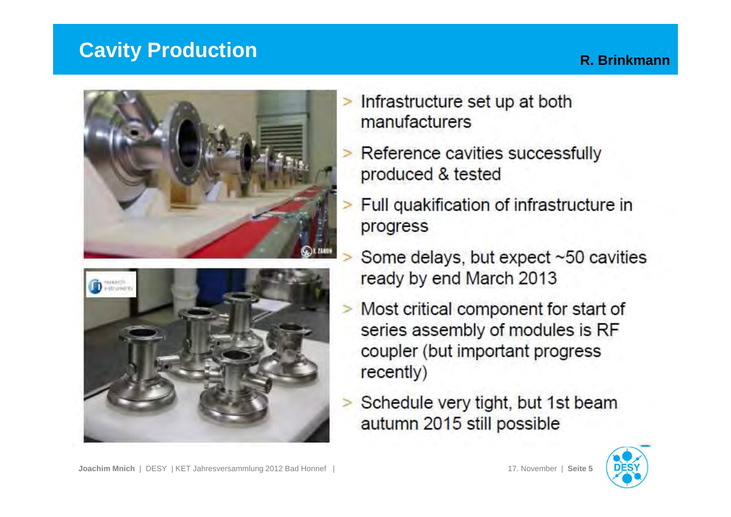### **Cavity Production**

#### **R. Brinkmann**



- > Infrastructure set up at both manufacturers
- > Reference cavities successfully produced & tested
- > Full quakification of infrastructure in progress
- Some delays, but expect ~50 cavities ready by end March 2013
- > Most critical component for start of series assembly of modules is RF coupler (but important progress recently)
- Schedule very tight, but 1st beam autumn 2015 still possible

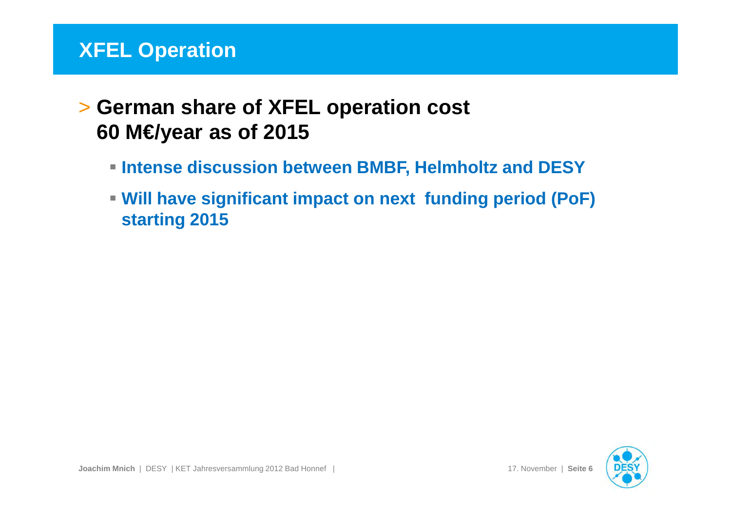### **XFEL Operation**

### > **German share of XFEL operation cost 60 M€/year as of 2015**

- **Intense discussion between BMBF, Helmholtz and DESY**
- **Will have significant impact on next funding period (PoF) starting 2015**

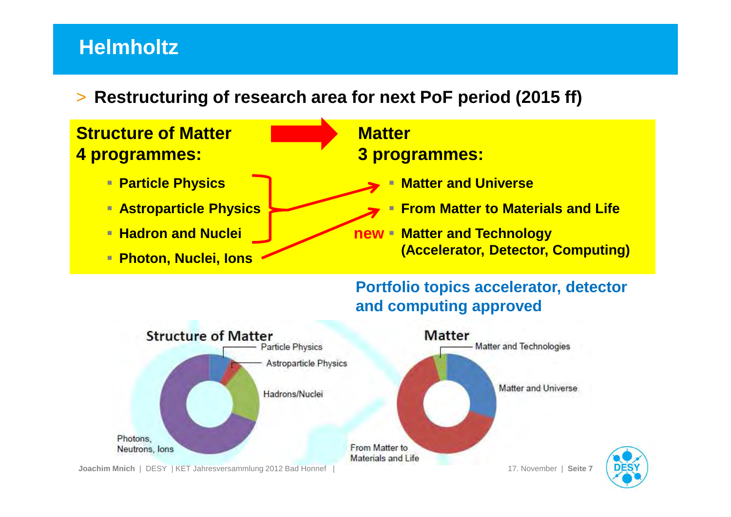### **Helmholtz**

# > **Restructuring of research area for next PoF period (2015 ff)**





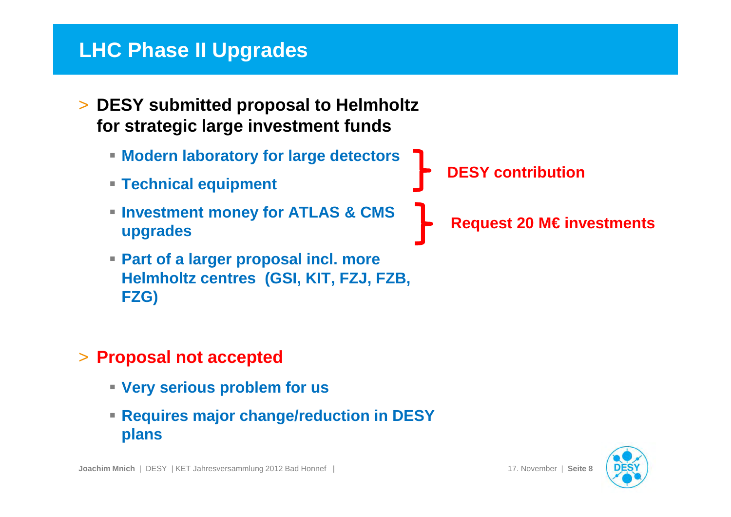### **LHC Phase II Upgrades**

- $\blacktriangleright$  **DESY submitted proposal to Helmholtz for strategic large investment funds**
	- **Modern laboratory for large detectors**
	- **Technical equipment**
	- **Investment money for ATLAS & CMS upgrades**
	- **Part of a larger proposal incl. more Helmholtz centres (GSI, KIT, FZJ, FZB, FZG)**

> **Proposal not accepted**

- **Very serious problem for us**
- **Requires major change/reduction in DESY plans**

**DESY contribution**

**Request 20 M€ investments**

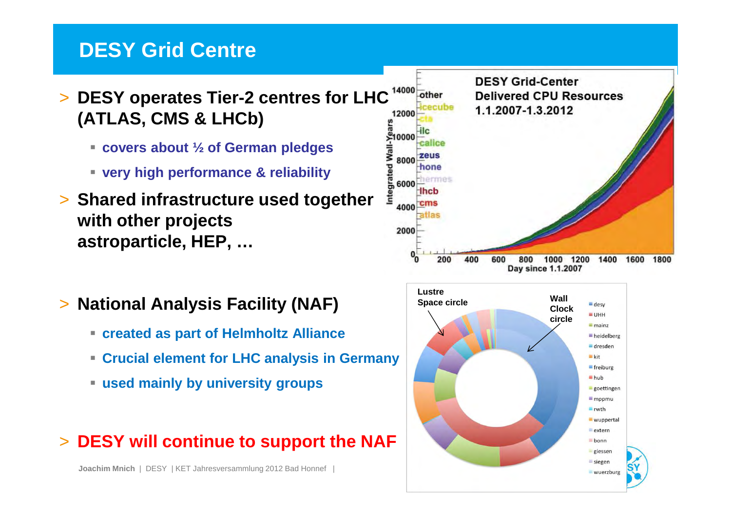### **DESY Grid Centre**

> **DESY operates Tier-2 centres for LHC (ATLAS, CMS & LHCb)**

- **covers about ½ of German pledges**
- **very high performance & reliability**
- > **Shared infrastructure used together with other projectsastroparticle, HEP, …**



> **National Analysis Facility (NAF)**

- **created as part of Helmholtz Alliance**
- **Crucial element for LHC analysis in Germany**
- **used mainly by university groups**

# > **DESY will continue to support the NAF**

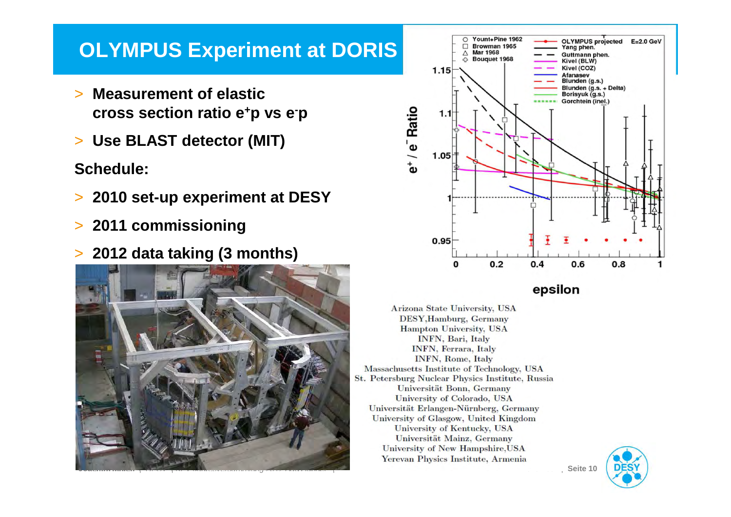### **OLYMPUS Experiment at DORIS**

- $\geq$  **Measurement of elastic cross section ratio <sup>e</sup><sup>+</sup>p vs <sup>e</sup>-p**
- >**Use BLAST detector (MIT)**

**Schedule:**

- >**2010 set-up experiment at DESY**
- $\geq$ **2011 commissioning**
- $\geq$ **2012 data taking (3 months)**





#### epsilon

Arizona State University, USA DESY, Hamburg, Germany Hampton University, USA **INFN, Bari, Italy INFN, Ferrara, Italy INFN, Rome, Italy** Massachusetts Institute of Technology, USA St. Petersburg Nuclear Physics Institute, Russia Universität Bonn, Germany University of Colorado, USA Universität Erlangen-Nürnberg, Germany University of Glasgow, United Kingdom University of Kentucky, USA Universität Mainz, Germany University of New Hampshire, USA Yerevan Physics Institute, Armenia

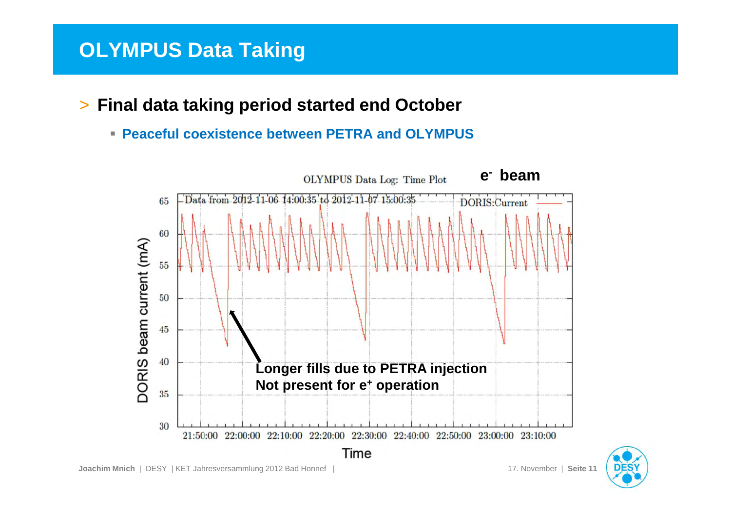### **OLYMPUS Data Taking**

## > **Final data taking period started end October**

- **Peaceful coexistence between PETRA and OLYMPUS**



![](_page_10_Picture_4.jpeg)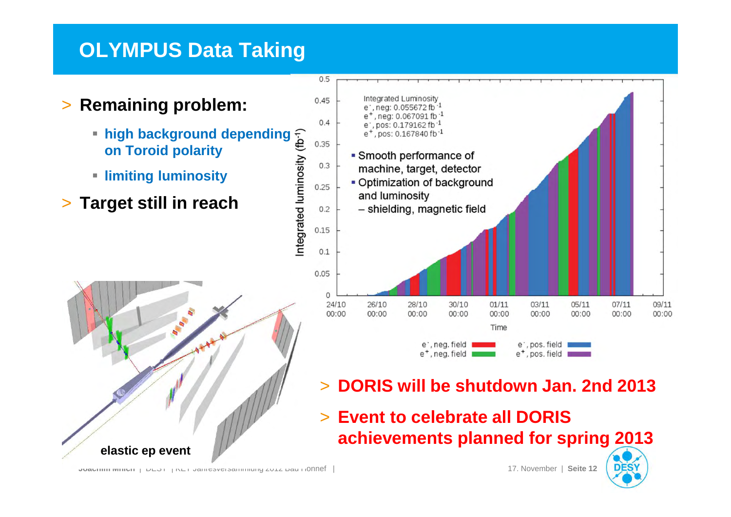### **OLYMPUS Data Taking**

 $0.5$ 

# > **Remaining problem:**

- **high background depending on Toroid polarity**
- **limiting luminosity**
- > Target still in reach **Target still in reach**

![](_page_11_Figure_5.jpeg)

![](_page_11_Figure_6.jpeg)

#### >**DORIS will be shutdown Jan. 2nd 2013**

> **Event to celebrate all DORIS achievements planned for spring 2013**

![](_page_11_Picture_10.jpeg)

**Joachim Mnich** | DESY | KET Jahresversammlung 2012 Bad Honnef | 17. November | **Seite <sup>12</sup>**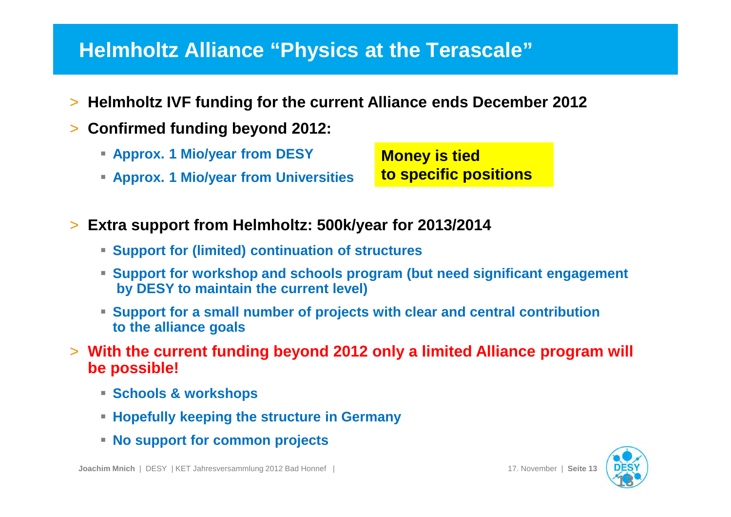### **Helmholtz Alliance "Physics at the Terascale"**

- >**Helmholtz IVF funding for the current Alliance ends December 2012**
- > **Confirmed funding beyond 2012:** 
	- **Approx. 1 Mio/year from DESY**
	- **Approx. 1 Mio/year from Universities**

**Money is tied to specific positions**

- > **Extra support from Helmholtz: 500k/year for 2013/2014**
	- **Support for (limited) continuation of structures**
	- **Support for workshop and schools program (but need significant engagement by DESY to maintain the current level)**
	- **Support for a small number of projects with clear and central contribution to the alliance goals**
- > **With the current funding beyond 2012 only a limited Alliance program will be possible!**
	- **Schools & workshops**
	- **Hopefully keeping the structure in Germany**
	- **No support for common projects**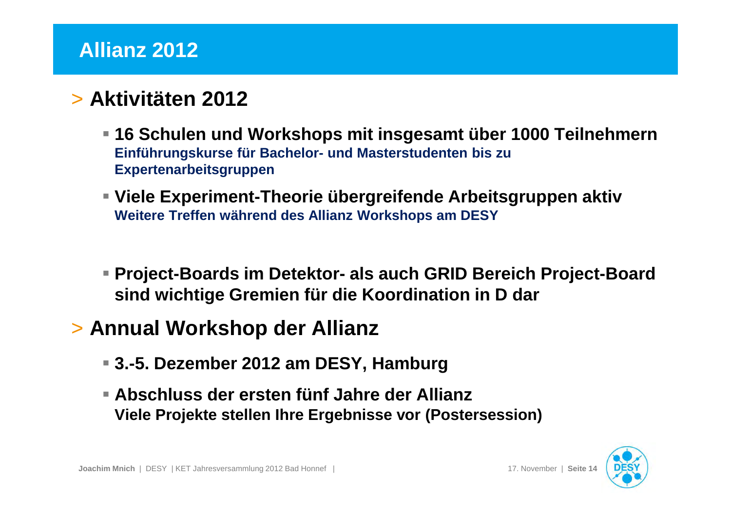### **Allianz 2012**

# > **Aktivitäten 2012**

- **16 Schulen und Workshops mit insgesamt über 1000 TeilnehmernEinführungskurse für Bachelor- und Masterstudenten bis zu Expertenarbeitsgruppen**
- Viele Experiment-Theorie übergreifende Arbeitsgruppen aktiv **Weitere Treffen während des Allianz Workshops am DESY**
- Project-Boards im Detektor- als auch GRID Bereich Project-Board **sind wichtige Gremien für die Koordination in D dar**
- > **Annual Workshop der Allianz**
	- **3.-5. Dezember 2012 am DESY, Hamburg**
	- **Abschluss der ersten fünf Jahre der AllianzViele Projekte stellen Ihre Ergebnisse vor (Postersession)**

![](_page_13_Picture_8.jpeg)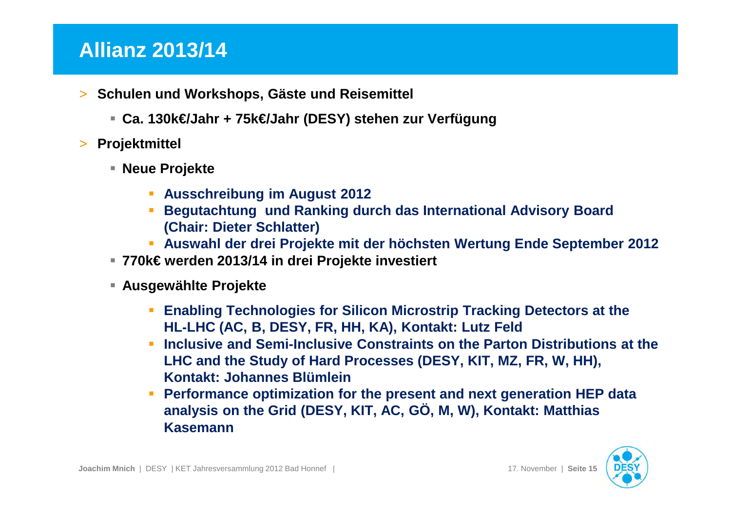### **Allianz 2013/14**

- > **Schulen und Workshops, Gäste und Reisemittel**
	- **Ca. 130k€/Jahr + 75k€/Jahr (DESY) stehen zur Verfügung**
- > **Projektmittel**
	- **Neue Projekte**
		- **Ausschreibung im August 2012**
		- **Begutachtung und Ranking durch das International Advisory Board (Chair: Dieter Schlatter)**
		- **Auswahl der drei Projekte mit der höchsten Wertung Ende September 2012**
	- **770k€ werden 2013/14 in drei Projekte investiert**
	- **Ausgewählte Projekte**
		- **Enabling Technologies for Silicon Microstrip Tracking Detectors at the HL**‐**LHC (AC, B, DESY, FR, HH, KA), Kontakt: Lutz Feld**
		- **nianally 11 Inclust Constraints on the Parton Distributions at the LHC and the Study of Hard Processes (DESY, KIT, MZ, FR, W, HH), Kontakt: Johannes Blümlein**
		- **Performance optimization for the present and next generation HEP data analysis on the Grid (DESY, KIT, AC, GÖ, M, W), Kontakt: Matthias Kasemann**

![](_page_14_Picture_13.jpeg)